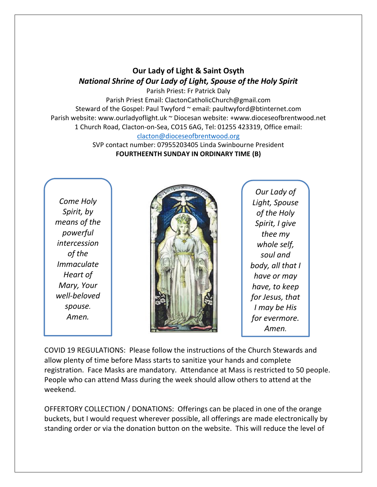## **Our Lady of Light & Saint Osyth** *National Shrine of Our Lady of Light, Spouse of the Holy Spirit*

Parish Priest: Fr Patrick Daly Parish Priest Email: ClactonCatholicChurch@gmail.com Steward of the Gospel: Paul Twyford ~ email: paultwyford@btinternet.com Parish website: www.ourladyoflight.uk ~ Diocesan website: +www.dioceseofbrentwood.net 1 Church Road, Clacton-on-Sea, CO15 6AG, Tel: 01255 423319, Office email: [clacton@dioceseofbrentwood.org](mailto:clacton@dioceseofbrentwood.org)

> SVP contact number: 07955203405 Linda Swinbourne President **FOURTHEENTH SUNDAY IN ORDINARY TIME (B)**

*Come Holy Spirit, by means of the powerful intercession of the Immaculate Heart of Mary, Your well-beloved spouse. Amen.*



*Our Lady of Light, Spouse of the Holy Spirit, I give thee my whole self, soul and body, all that I have or may have, to keep for Jesus, that I may be His for evermore. Amen.*

COVID 19 REGULATIONS: Please follow the instructions of the Church Stewards and allow plenty of time before Mass starts to sanitize your hands and complete registration. Face Masks are mandatory. Attendance at Mass is restricted to 50 people. People who can attend Mass during the week should allow others to attend at the weekend.

OFFERTORY COLLECTION / DONATIONS: Offerings can be placed in one of the orange buckets, but I would request wherever possible, all offerings are made electronically by standing order or via the donation button on the website. This will reduce the level of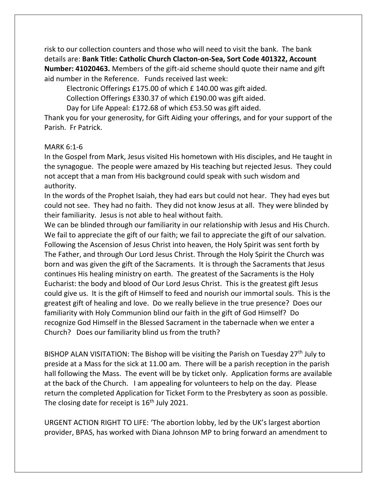risk to our collection counters and those who will need to visit the bank. The bank details are: **Bank Title: Catholic Church Clacton-on-Sea, Sort Code 401322, Account Number: 41020463.** Members of the gift-aid scheme should quote their name and gift aid number in the Reference. Funds received last week:

Electronic Offerings £175.00 of which £ 140.00 was gift aided.

Collection Offerings £330.37 of which £190.00 was gift aided.

Day for Life Appeal: £172.68 of which £53.50 was gift aided.

Thank you for your generosity, for Gift Aiding your offerings, and for your support of the Parish. Fr Patrick.

## MARK 6:1-6

In the Gospel from Mark, Jesus visited His hometown with His disciples, and He taught in the synagogue. The people were amazed by His teaching but rejected Jesus. They could not accept that a man from His background could speak with such wisdom and authority.

In the words of the Prophet Isaiah, they had ears but could not hear. They had eyes but could not see. They had no faith. They did not know Jesus at all. They were blinded by their familiarity. Jesus is not able to heal without faith.

We can be blinded through our familiarity in our relationship with Jesus and His Church. We fail to appreciate the gift of our faith; we fail to appreciate the gift of our salvation. Following the Ascension of Jesus Christ into heaven, the Holy Spirit was sent forth by The Father, and through Our Lord Jesus Christ. Through the Holy Spirit the Church was born and was given the gift of the Sacraments. It is through the Sacraments that Jesus continues His healing ministry on earth. The greatest of the Sacraments is the Holy Eucharist: the body and blood of Our Lord Jesus Christ. This is the greatest gift Jesus could give us. It is the gift of Himself to feed and nourish our immortal souls. This is the greatest gift of healing and love. Do we really believe in the true presence? Does our familiarity with Holy Communion blind our faith in the gift of God Himself? Do recognize God Himself in the Blessed Sacrament in the tabernacle when we enter a Church? Does our familiarity blind us from the truth?

BISHOP ALAN VISITATION: The Bishop will be visiting the Parish on Tuesday  $27<sup>th</sup>$  July to preside at a Mass for the sick at 11.00 am. There will be a parish reception in the parish hall following the Mass. The event will be by ticket only. Application forms are available at the back of the Church. I am appealing for volunteers to help on the day. Please return the completed Application for Ticket Form to the Presbytery as soon as possible. The closing date for receipt is  $16<sup>th</sup>$  July 2021.

URGENT ACTION RIGHT TO LIFE: 'The abortion lobby, led by the UK's largest abortion provider, BPAS, has worked with Diana Johnson MP to bring forward an amendment to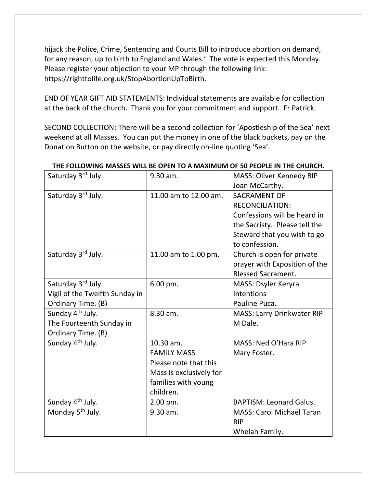hijack the Police, Crime, Sentencing and Courts Bill to introduce abortion on demand, for any reason, up to birth to England and Wales.' The vote is expected this Monday. Please register your objection to your MP through the following link: https://righttolife.org.uk/StopAbortionUpToBirth.

END OF YEAR GIFT AID STATEMENTS: Individual statements are available for collection at the back of the church. Thank you for your commitment and support. Fr Patrick.

SECOND COLLECTION: There will be a second collection for 'Apostleship of the Sea' next weekend at all Masses. You can put the money in one of the black buckets, pay on the Donation Button on the website, or pay directly on-line quoting 'Sea'.

| Saturday 3rd July.             | 9.30 am.                | <b>MASS: Oliver Kennedy RIP</b>   |
|--------------------------------|-------------------------|-----------------------------------|
|                                |                         | Joan McCarthy.                    |
| Saturday 3rd July.             | 11.00 am to 12.00 am.   | <b>SACRAMENT OF</b>               |
|                                |                         | <b>RECONCILIATION:</b>            |
|                                |                         | Confessions will be heard in      |
|                                |                         | the Sacristy. Please tell the     |
|                                |                         | Steward that you wish to go       |
|                                |                         | to confession.                    |
| Saturday 3rd July.             | 11.00 am to 1.00 pm.    | Church is open for private        |
|                                |                         | prayer with Exposition of the     |
|                                |                         | <b>Blessed Sacrament.</b>         |
| Saturday 3rd July.             | 6.00 pm.                | MASS: Dsyler Keryra               |
| Vigil of the Twelfth Sunday in |                         | Intentions                        |
| Ordinary Time. (B)             |                         | Pauline Puca.                     |
| Sunday 4 <sup>th</sup> July.   | 8.30 am.                | <b>MASS: Larry Drinkwater RIP</b> |
| The Fourteenth Sunday in       |                         | M Dale.                           |
| Ordinary Time. (B)             |                         |                                   |
| Sunday 4 <sup>th</sup> July.   | 10.30 am.               | MASS: Ned O'Hara RIP              |
|                                | <b>FAMILY MASS</b>      | Mary Foster.                      |
|                                | Please note that this   |                                   |
|                                | Mass is exclusively for |                                   |
|                                | families with young     |                                   |
|                                | children.               |                                   |
| Sunday 4 <sup>th</sup> July.   | 2.00 pm.                | <b>BAPTISM: Leonard Galus.</b>    |
| Monday 5 <sup>th</sup> July.   | 9.30 am.                | <b>MASS: Carol Michael Taran</b>  |
|                                |                         | <b>RIP</b>                        |
|                                |                         | Whelah Family.                    |

## **THE FOLLOWING MASSES WILL BE OPEN TO A MAXIMUM OF 50 PEOPLE IN THE CHURCH.**